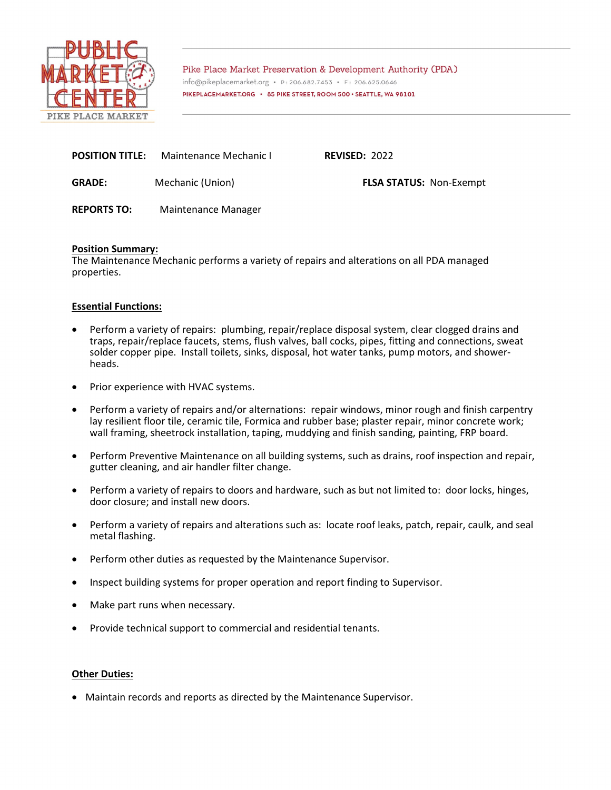

Pike Place Market Preservation & Development Authority (PDA) info@pikeplacemarket.org · P:206.682.7453 · F: 206.625.0646 PIKEPLACEMARKET.ORG • 85 PIKE STREET, ROOM 500 • SEATTLE, WA 98101

| <b>POSITION TITLE:</b> | Maintenance Mechanic I | <b>REVISED: 2022</b>           |
|------------------------|------------------------|--------------------------------|
| <b>GRADE:</b>          | Mechanic (Union)       | <b>FLSA STATUS: Non-Exempt</b> |
| <b>REPORTS TO:</b>     | Maintenance Manager    |                                |

# **Position Summary:**

The Maintenance Mechanic performs a variety of repairs and alterations on all PDA managed properties.

# **Essential Functions:**

- Perform a variety of repairs: plumbing, repair/replace disposal system, clear clogged drains and traps, repair/replace faucets, stems, flush valves, ball cocks, pipes, fitting and connections, sweat solder copper pipe. Install toilets, sinks, disposal, hot water tanks, pump motors, and showerheads.
- Prior experience with HVAC systems.
- Perform a variety of repairs and/or alternations: repair windows, minor rough and finish carpentry lay resilient floor tile, ceramic tile, Formica and rubber base; plaster repair, minor concrete work; wall framing, sheetrock installation, taping, muddying and finish sanding, painting, FRP board.
- Perform Preventive Maintenance on all building systems, such as drains, roof inspection and repair, gutter cleaning, and air handler filter change.
- Perform a variety of repairs to doors and hardware, such as but not limited to: door locks, hinges, door closure; and install new doors.
- Perform a variety of repairs and alterations such as: locate roof leaks, patch, repair, caulk, and seal metal flashing.
- Perform other duties as requested by the Maintenance Supervisor.
- Inspect building systems for proper operation and report finding to Supervisor.
- Make part runs when necessary.
- Provide technical support to commercial and residential tenants.

### **Other Duties:**

• Maintain records and reports as directed by the Maintenance Supervisor.